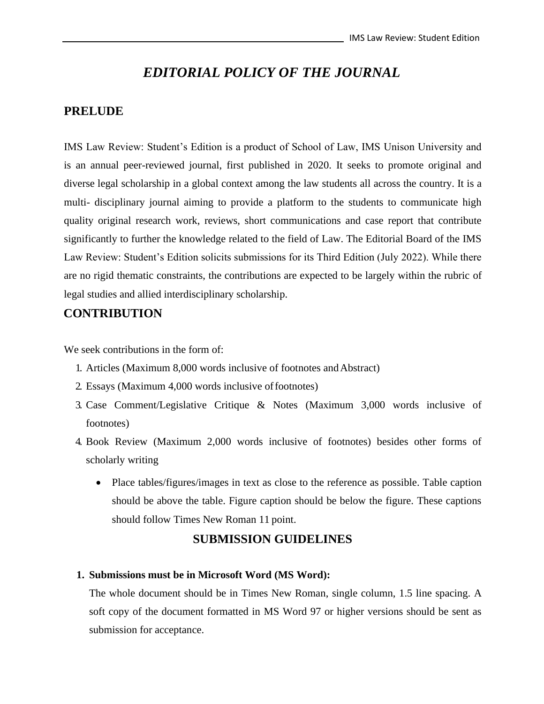# *EDITORIAL POLICY OF THE JOURNAL*

#### **PRELUDE**

IMS Law Review: Student's Edition is a product of School of Law, IMS Unison University and is an annual peer-reviewed journal, first published in 2020. It seeks to promote original and diverse legal scholarship in a global context among the law students all across the country. It is a multi- disciplinary journal aiming to provide a platform to the students to communicate high quality original research work, reviews, short communications and case report that contribute significantly to further the knowledge related to the field of Law. The Editorial Board of the IMS Law Review: Student's Edition solicits submissions for its Third Edition (July 2022). While there are no rigid thematic constraints, the contributions are expected to be largely within the rubric of legal studies and allied interdisciplinary scholarship.

### **CONTRIBUTION**

We seek contributions in the form of:

- 1. Articles (Maximum 8,000 words inclusive of footnotes andAbstract)
- 2. Essays (Maximum 4,000 words inclusive offootnotes)
- 3. Case Comment/Legislative Critique & Notes (Maximum 3,000 words inclusive of footnotes)
- 4. Book Review (Maximum 2,000 words inclusive of footnotes) besides other forms of scholarly writing
	- Place tables/figures/images in text as close to the reference as possible. Table caption should be above the table. Figure caption should be below the figure. These captions should follow Times New Roman 11 point.

#### **SUBMISSION GUIDELINES**

#### **1. Submissions must be in Microsoft Word (MS Word):**

The whole document should be in Times New Roman, single column, 1.5 line spacing. A soft copy of the document formatted in MS Word 97 or higher versions should be sent as submission for acceptance.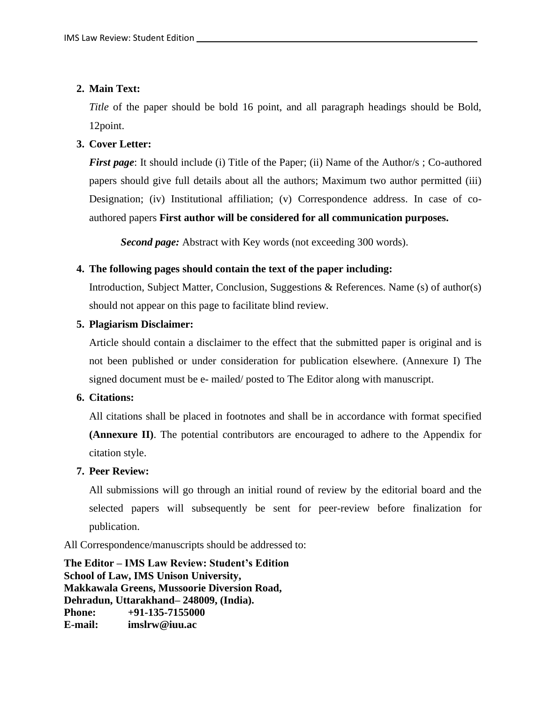#### **2. Main Text:**

*Title* of the paper should be bold 16 point, and all paragraph headings should be Bold, 12point.

#### **3. Cover Letter:**

*First page*: It should include (i) Title of the Paper; (ii) Name of the Author/s; Co-authored papers should give full details about all the authors; Maximum two author permitted (iii) Designation; (iv) Institutional affiliation; (v) Correspondence address. In case of coauthored papers **First author will be considered for all communication purposes.**

*Second page:* Abstract with Key words (not exceeding 300 words).

#### **4. The following pages should contain the text of the paper including:**

Introduction, Subject Matter, Conclusion, Suggestions & References. Name (s) of author(s) should not appear on this page to facilitate blind review.

#### **5. Plagiarism Disclaimer:**

Article should contain a disclaimer to the effect that the submitted paper is original and is not been published or under consideration for publication elsewhere. (Annexure I) The signed document must be e- mailed/ posted to The Editor along with manuscript.

#### **6. Citations:**

All citations shall be placed in footnotes and shall be in accordance with format specified **(Annexure II)**. The potential contributors are encouraged to adhere to the Appendix for citation style.

#### **7. Peer Review:**

All submissions will go through an initial round of review by the editorial board and the selected papers will subsequently be sent for peer-review before finalization for publication.

All Correspondence/manuscripts should be addressed to:

**The Editor – IMS Law Review: Student's Edition School of Law, IMS Unison University, Makkawala Greens, Mussoorie Diversion Road, Dehradun, Uttarakhand– 248009, (India). Phone: +91-135-7155000 E-mail: imslrw@iuu.ac**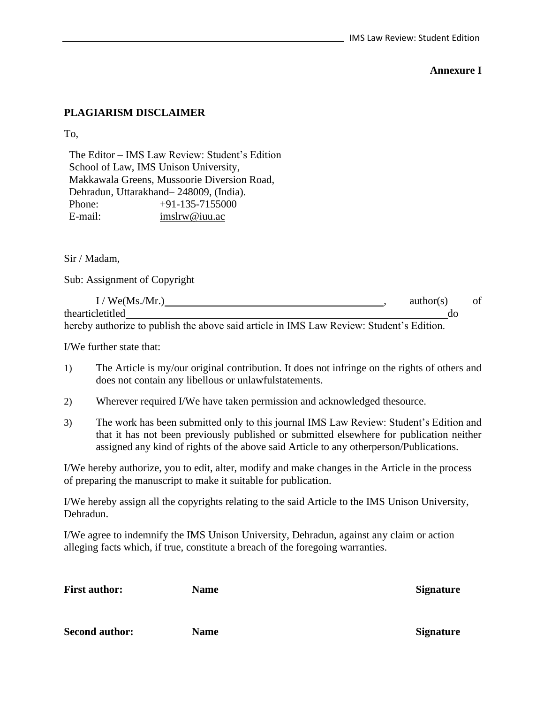#### **Annexure I**

### **PLAGIARISM DISCLAIMER**

To,

The Editor – IMS Law Review: Student's Edition School of Law, IMS Unison University, Makkawala Greens, Mussoorie Diversion Road, Dehradun, Uttarakhand– 248009, (India). Phone: +91-135-7155000 E-mail: [imslrw@iuu.ac](mailto:imslrw@iuu.ac)

#### Sir / Madam,

Sub: Assignment of Copyright

| $\sqrt{\text{We}}(Ms./Mr.)$                                                              | author(s) |    |  |
|------------------------------------------------------------------------------------------|-----------|----|--|
| thearticletitled                                                                         |           | ac |  |
| boughy outhours to mullich the choye said outicle in IMC I our Deviewy Ctudent's Edition |           |    |  |

hereby authorize to publish the above said article in IMS Law Review: Student's Edition.

I/We further state that:

- 1) The Article is my/our original contribution. It does not infringe on the rights of others and does not contain any libellous or unlawfulstatements.
- 2) Wherever required I/We have taken permission and acknowledged thesource.
- 3) The work has been submitted only to this journal IMS Law Review: Student's Edition and that it has not been previously published or submitted elsewhere for publication neither assigned any kind of rights of the above said Article to any otherperson/Publications.

I/We hereby authorize, you to edit, alter, modify and make changes in the Article in the process of preparing the manuscript to make it suitable for publication.

I/We hereby assign all the copyrights relating to the said Article to the IMS Unison University, Dehradun.

I/We agree to indemnify the IMS Unison University, Dehradun, against any claim or action alleging facts which, if true, constitute a breach of the foregoing warranties.

| <b>First author:</b>  | <b>Name</b> | <b>Signature</b> |  |
|-----------------------|-------------|------------------|--|
|                       |             |                  |  |
| <b>Second author:</b> | <b>Name</b> | <b>Signature</b> |  |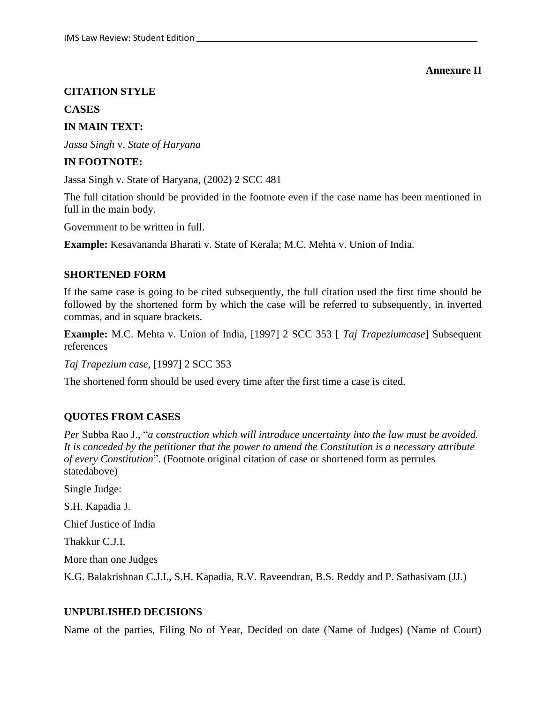#### **Annexure II**

#### **CITATION STYLE**

#### **CASES**

#### **IN MAIN TEXT:**

*Jassa Singh* v. *State of Haryana*

#### **IN FOOTNOTE:**

Jassa Singh v. State of Haryana, (2002) 2 SCC 481

The full citation should be provided in the footnote even if the case name has been mentioned in full in the main body.

Government to be written in full.

**Example:** Kesavananda Bharati v. State of Kerala; M.C. Mehta v. Union of India.

#### **SHORTENED FORM**

If the same case is going to be cited subsequently, the full citation used the first time should be followed by the shortened form by which the case will be referred to subsequently, in inverted commas, and in square brackets.

**Example:** M.C. Mehta v. Union of India, [1997] 2 SCC 353 [ *Taj Trapeziumcase*] Subsequent references

*Taj Trapezium case*, [1997] 2 SCC 353

The shortened form should be used every time after the first time a case is cited.

#### **QUOTES FROM CASES**

*Per* Subba Rao J., "*a construction which will introduce uncertainty into the law must be avoided. It is conceded by the petitioner that the power to amend the Constitution is a necessary attribute of every Constitution*". (Footnote original citation of case or shortened form as perrules statedabove)

Single Judge:

S.H. Kapadia J.

Chief Justice of India

Thakkur C.J.I.

More than one Judges

K.G. Balakrishnan C.J.I., S.H. Kapadia, R.V. Raveendran, B.S. Reddy and P. Sathasivam (JJ.)

#### **UNPUBLISHED DECISIONS**

Name of the parties, Filing No of Year, Decided on date (Name of Judges) (Name of Court)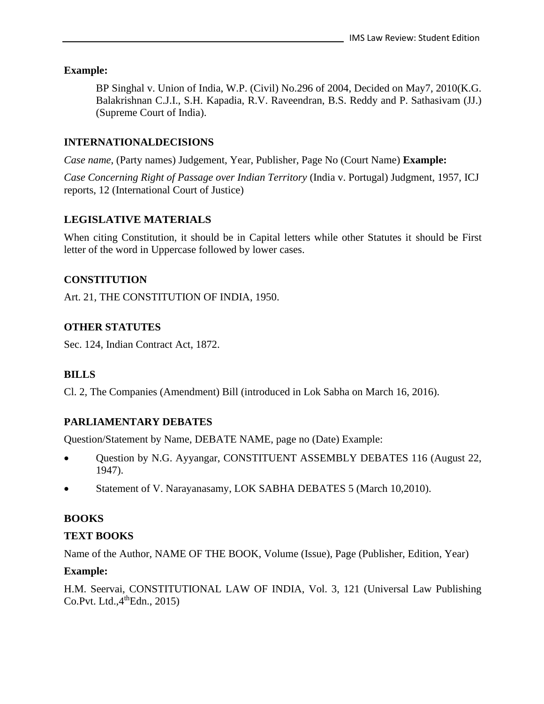### **Example:**

BP Singhal v. Union of India, W.P. (Civil) No.296 of 2004, Decided on May7, 2010(K.G. Balakrishnan C.J.I., S.H. Kapadia, R.V. Raveendran, B.S. Reddy and P. Sathasivam (JJ.) (Supreme Court of India).

### **INTERNATIONALDECISIONS**

*Case name*, (Party names) Judgement, Year, Publisher, Page No (Court Name) **Example:**

*Case Concerning Right of Passage over Indian Territory* (India v. Portugal) Judgment, 1957, ICJ reports, 12 (International Court of Justice)

### **LEGISLATIVE MATERIALS**

When citing Constitution, it should be in Capital letters while other Statutes it should be First letter of the word in Uppercase followed by lower cases.

### **CONSTITUTION**

Art. 21, THE CONSTITUTION OF INDIA, 1950.

### **OTHER STATUTES**

Sec. 124, Indian Contract Act, 1872.

### **BILLS**

Cl. 2, The Companies (Amendment) Bill (introduced in Lok Sabha on March 16, 2016).

### **PARLIAMENTARY DEBATES**

Question/Statement by Name, DEBATE NAME, page no (Date) Example:

- Question by N.G. Ayyangar, CONSTITUENT ASSEMBLY DEBATES 116 (August 22, 1947).
- Statement of V. Narayanasamy, LOK SABHA DEBATES 5 (March 10,2010).

### **BOOKS**

### **TEXT BOOKS**

Name of the Author, NAME OF THE BOOK, Volume (Issue), Page (Publisher, Edition, Year)

### **Example:**

H.M. Seervai, CONSTITUTIONAL LAW OF INDIA, Vol. 3, 121 (Universal Law Publishing  $Co.Pvt. Ltd.,4<sup>th</sup>Edn., 2015)$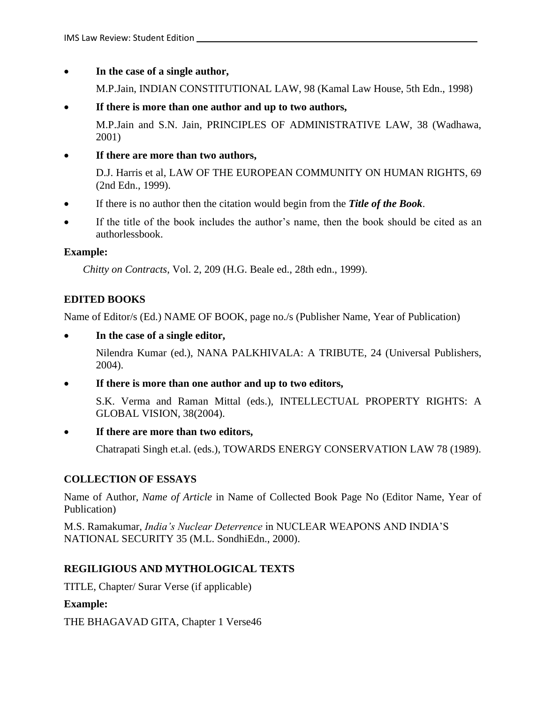• **In the case of a single author,**

M.P.Jain, INDIAN CONSTITUTIONAL LAW, 98 (Kamal Law House, 5th Edn., 1998)

• **If there is more than one author and up to two authors,**

M.P.Jain and S.N. Jain, PRINCIPLES OF ADMINISTRATIVE LAW, 38 (Wadhawa, 2001)

### • **If there are more than two authors,**

D.J. Harris et al, LAW OF THE EUROPEAN COMMUNITY ON HUMAN RIGHTS, 69 (2nd Edn., 1999).

- If there is no author then the citation would begin from the *Title of the Book*.
- If the title of the book includes the author's name, then the book should be cited as an authorlessbook.

### **Example:**

*Chitty on Contracts*, Vol. 2, 209 (H.G. Beale ed., 28th edn., 1999).

### **EDITED BOOKS**

Name of Editor/s (Ed.) NAME OF BOOK, page no./s (Publisher Name, Year of Publication)

• **In the case of a single editor,**

Nilendra Kumar (ed.), NANA PALKHIVALA: A TRIBUTE, 24 (Universal Publishers, 2004).

• **If there is more than one author and up to two editors,**

S.K. Verma and Raman Mittal (eds.), INTELLECTUAL PROPERTY RIGHTS: A GLOBAL VISION, 38(2004).

### • **If there are more than two editors,**

Chatrapati Singh et.al. (eds.), TOWARDS ENERGY CONSERVATION LAW 78 (1989).

### **COLLECTION OF ESSAYS**

Name of Author, *Name of Article* in Name of Collected Book Page No (Editor Name, Year of Publication)

M.S. Ramakumar, *India's Nuclear Deterrence* in NUCLEAR WEAPONS AND INDIA'S NATIONAL SECURITY 35 (M.L. SondhiEdn., 2000).

### **REGILIGIOUS AND MYTHOLOGICAL TEXTS**

TITLE, Chapter/ Surar Verse (if applicable)

### **Example:**

THE BHAGAVAD GITA, Chapter 1 Verse46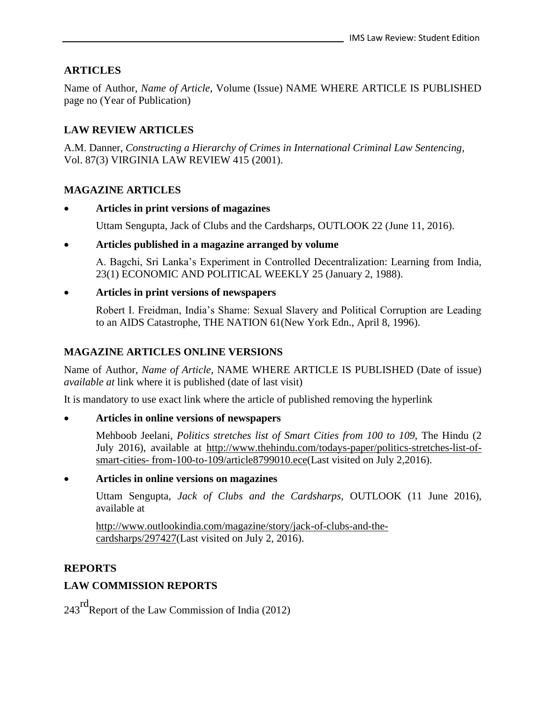### **ARTICLES**

Name of Author, *Name of Article*, Volume (Issue) NAME WHERE ARTICLE IS PUBLISHED page no (Year of Publication)

### **LAW REVIEW ARTICLES**

A.M. Danner, *Constructing a Hierarchy of Crimes in International Criminal Law Sentencing*, Vol. 87(3) VIRGINIA LAW REVIEW 415 (2001).

#### **MAGAZINE ARTICLES**

• **Articles in print versions of magazines**

Uttam Sengupta, Jack of Clubs and the Cardsharps, OUTLOOK 22 (June 11, 2016).

#### • **Articles published in a magazine arranged by volume**

A. Bagchi, Sri Lanka's Experiment in Controlled Decentralization: Learning from India, 23(1) ECONOMIC AND POLITICAL WEEKLY 25 (January 2, 1988).

#### • **Articles in print versions of newspapers**

Robert I. Freidman, India's Shame: Sexual Slavery and Political Corruption are Leading to an AIDS Catastrophe, THE NATION 61(New York Edn., April 8, 1996).

### **MAGAZINE ARTICLES ONLINE VERSIONS**

Name of Author, *Name of Article*, NAME WHERE ARTICLE IS PUBLISHED (Date of issue) *available at* link where it is published (date of last visit)

It is mandatory to use exact link where the article of published removing the hyperlink

- **Articles in online versions of newspapers**
	- Mehboob Jeelani, *Politics stretches list of Smart Cities from 100 to 109,* The Hindu (2 July 2016), available at [http://www.thehindu.com/todays-paper/politics-stretches-list-of](http://www.thehindu.com/todays-paper/politics-stretches-list-of-smart-cities-%20from-100-to-109/article8799010.ece)smart-cities- [from-100-to-109/article8799010.ece\(](http://www.thehindu.com/todays-paper/politics-stretches-list-of-smart-cities-%20from-100-to-109/article8799010.ece)Last visited on July 2,2016).

### • **Articles in online versions on magazines**

Uttam Sengupta, *Jack of Clubs and the Cardsharps,* OUTLOOK (11 June 2016), available at

[http://www.outlookindia.com/magazine/story/jack-of-clubs-and-the](http://www.outlookindia.com/magazine/story/jack-of-clubs-and-the-cardsharps/297427)[cardsharps/297427\(](http://www.outlookindia.com/magazine/story/jack-of-clubs-and-the-cardsharps/297427)Last visited on July 2, 2016).

### **REPORTS**

### **LAW COMMISSION REPORTS**

 $243<sup>rd</sup>$ Report of the Law Commission of India (2012)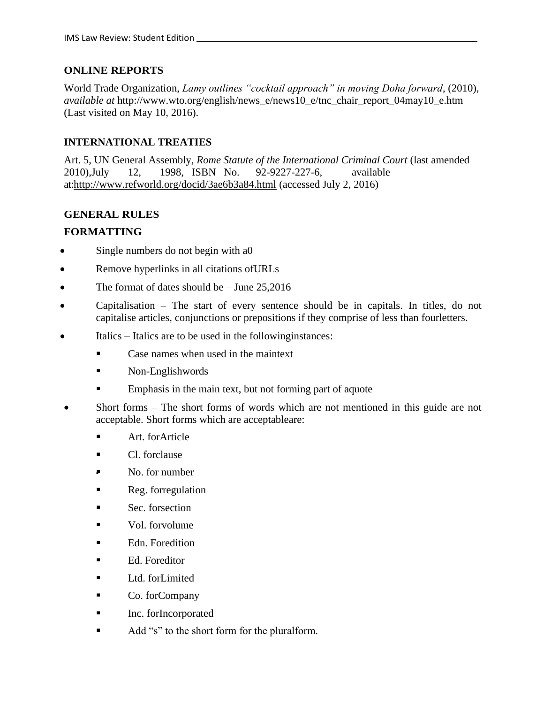### **ONLINE REPORTS**

World Trade Organization, *Lamy outlines "cocktail approach" in moving Doha forward*, (2010), *available at* [http://www.wto.org/english/news\\_e/news10\\_e/tnc\\_chair\\_report\\_04may10\\_e.htm](http://www.wto.org/english/news_e/news10_e/tnc_chair_report_04may10_e.htm) (Last visited on May 10, 2016).

### **INTERNATIONAL TREATIES**

Art. 5, UN General Assembly, *Rome Statute of the International Criminal Court* (last amended 2010),July 12, 1998, ISBN No. 92-9227-227-6, available at[:http://www.refworld.org/docid/3ae6b3a84.html](http://www.refworld.org/docid/3ae6b3a84.html) (accessed July 2, 2016)

### **GENERAL RULES**

### **FORMATTING**

- Single numbers do not begin with a O
- Remove hyperlinks in all citations of URLs
- The format of dates should be  $-$  June 25,2016
- Capitalisation The start of every sentence should be in capitals. In titles, do not capitalise articles, conjunctions or prepositions if they comprise of less than fourletters.
- Italics Italics are to be used in the following instances:
	- Case names when used in the maintext
	- Non-Englishwords
	- Emphasis in the main text, but not forming part of aquote
- Short forms The short forms of words which are not mentioned in this guide are not acceptable. Short forms which are acceptableare:
	- Art. for Article
	- Cl. forclause
	- No. for number
	- Reg. forregulation
	- Sec. forsection
	- Vol. forvolume
	- Edn. Foredition
	- Ed. Foreditor
	- Ltd. forLimited
	- Co. forCompany
	- Inc. forIncorporated
	- Add "s" to the short form for the pluralform.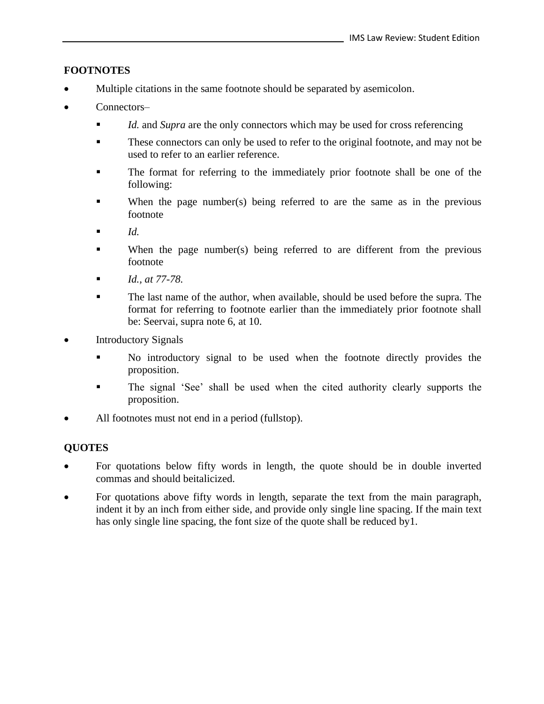### **FOOTNOTES**

- Multiple citations in the same footnote should be separated by asemicolon.
- Connectors-
	- *Id.* and *Supra* are the only connectors which may be used for cross referencing
	- These connectors can only be used to refer to the original footnote, and may not be used to refer to an earlier reference.
	- The format for referring to the immediately prior footnote shall be one of the following:
	- When the page number(s) being referred to are the same as in the previous footnote
	- $\blacksquare$  *Id.*
	- When the page number(s) being referred to are different from the previous footnote
	- *Id., at 77-78.*
	- The last name of the author, when available, should be used before the supra. The format for referring to footnote earlier than the immediately prior footnote shall be: Seervai, supra note 6, at 10.
- Introductory Signals
	- No introductory signal to be used when the footnote directly provides the proposition.
	- The signal 'See' shall be used when the cited authority clearly supports the proposition.
- All footnotes must not end in a period (fullstop).

### **QUOTES**

- For quotations below fifty words in length, the quote should be in double inverted commas and should beitalicized.
- For quotations above fifty words in length, separate the text from the main paragraph, indent it by an inch from either side, and provide only single line spacing. If the main text has only single line spacing, the font size of the quote shall be reduced by 1.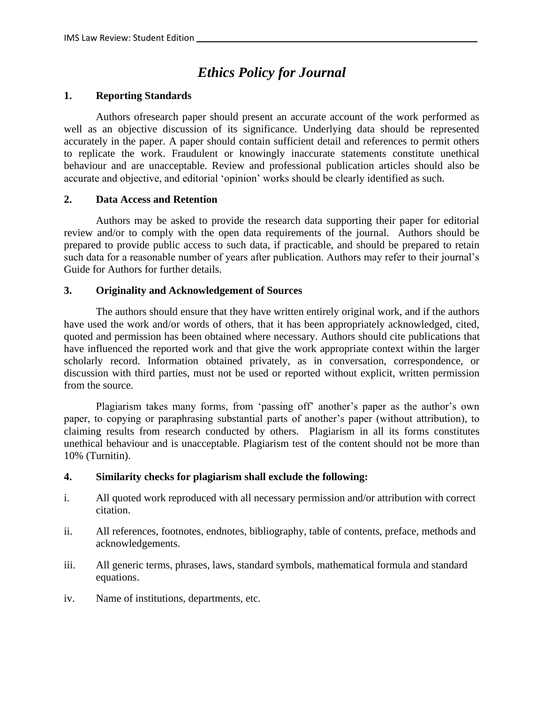# *Ethics Policy for Journal*

#### **1. Reporting Standards**

Authors ofresearch paper should present an accurate account of the work performed as well as an objective discussion of its significance. Underlying data should be represented accurately in the paper. A paper should contain sufficient detail and references to permit others to replicate the work. Fraudulent or knowingly inaccurate statements constitute unethical behaviour and are unacceptable. Review and professional publication articles should also be accurate and objective, and editorial 'opinion' works should be clearly identified as such.

#### **2. Data Access and Retention**

Authors may be asked to provide the research data supporting their paper for editorial review and/or to comply with the open data requirements of the journal. Authors should be prepared to provide public access to such data, if practicable, and should be prepared to retain such data for a reasonable number of years after publication. Authors may refer to their journal's Guide for Authors for further details.

#### **3. Originality and Acknowledgement of Sources**

The authors should ensure that they have written entirely original work, and if the authors have used the work and/or words of others, that it has been appropriately acknowledged, cited, quoted and permission has been obtained where necessary. Authors should cite publications that have influenced the reported work and that give the work appropriate context within the larger scholarly record. Information obtained privately, as in conversation, correspondence, or discussion with third parties, must not be used or reported without explicit, written permission from the source.

Plagiarism takes many forms, from 'passing off' another's paper as the author's own paper, to copying or paraphrasing substantial parts of another's paper (without attribution), to claiming results from research conducted by others. Plagiarism in all its forms constitutes unethical behaviour and is unacceptable. Plagiarism test of the content should not be more than 10% (Turnitin).

#### **4. Similarity checks for plagiarism shall exclude the following:**

- i. All quoted work reproduced with all necessary permission and/or attribution with correct citation.
- ii. All references, footnotes, endnotes, bibliography, table of contents, preface, methods and acknowledgements.
- iii. All generic terms, phrases, laws, standard symbols, mathematical formula and standard equations.
- iv. Name of institutions, departments, etc.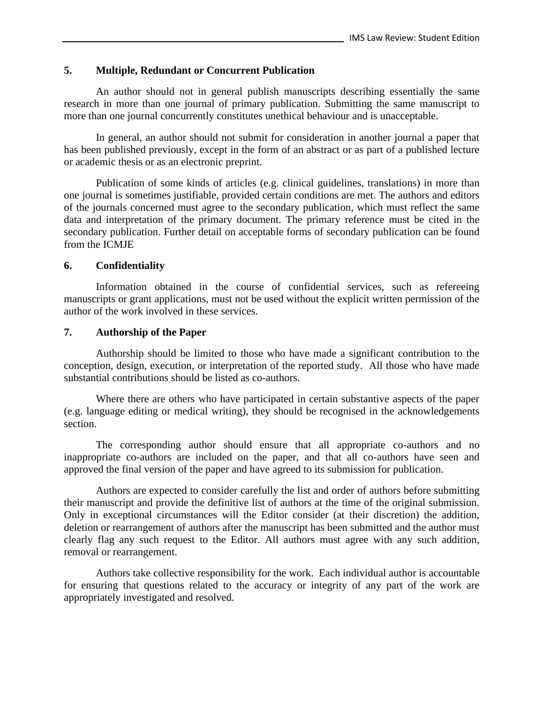#### **5. Multiple, [Redundant or Concurrent Publication](https://www.elsevier.com/about/policies/publishing-ethics)**

An author should not in general publish manuscripts describing essentially the same research in more than one journal of primary publication. Submitting the same manuscript to more than one journal concurrently constitutes unethical behaviour and is unacceptable.

In general, an author should not submit for consideration in another journal a paper that has been published previously, except in the form of an abstract or as part of a published lecture or academic thesis or as an electronic preprint.

Publication of some kinds of articles (e.g. clinical guidelines, translations) in more than one journal is sometimes justifiable, provided certain conditions are met. The authors and editors of the journals concerned must agree to the secondary publication, which must reflect the same data and interpretation of the primary document. The primary reference must be cited in the secondary publication. Further detail on acceptable forms of secondary publication can be found from the ICMJE

#### **6. Confidentiality**

Information obtained in the course of confidential services, such as refereeing manuscripts or grant applications, must not be used without the explicit written permission of the author of the work involved in these services.

#### **7. Authorship of the Paper**

Authorship should be limited to those who have made a significant contribution to the conception, design, execution, or interpretation of the reported study. All those who have made substantial contributions should be listed as co-authors.

Where there are others who have participated in certain substantive aspects of the paper (e.g. language editing or medical writing), they should be recognised in the acknowledgements section.

The corresponding author should ensure that all appropriate co-authors and no inappropriate co-authors are included on the paper, and that all co-authors have seen and approved the final version of the paper and have agreed to its submission for publication.

Authors are expected to consider carefully the list and order of authors before submitting their manuscript and provide the definitive list of authors at the time of the original submission. Only in exceptional circumstances will the Editor consider (at their discretion) the addition, deletion or rearrangement of authors after the manuscript has been submitted and the author must clearly flag any such request to the Editor. All authors must agree with any such addition, removal or rearrangement.

Authors take collective responsibility for the work. Each individual author is accountable for ensuring that questions related to the accuracy or integrity of any part of the work are appropriately investigated and resolved.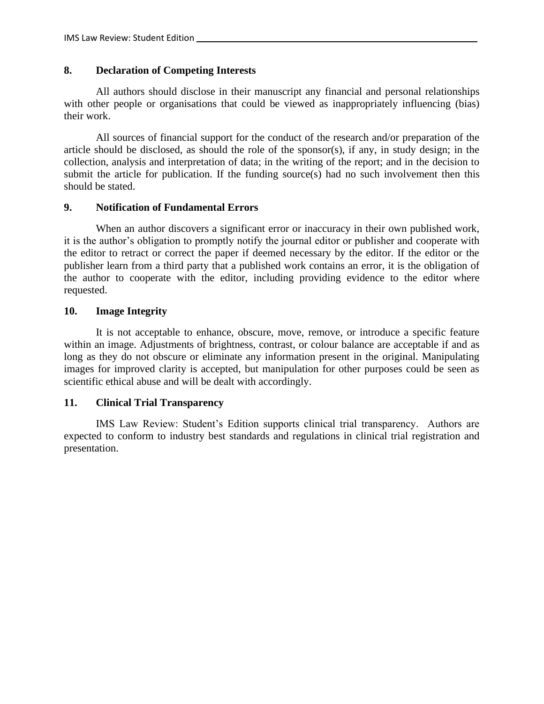### **8. Declaration of Competing Interests**

All authors should disclose in their manuscript any financial and personal relationships with other people or organisations that could be viewed as inappropriately influencing (bias) their work.

All sources of financial support for the conduct of the research and/or preparation of the article should be disclosed, as should the role of the sponsor(s), if any, in study design; in the collection, analysis and interpretation of data; in the writing of the report; and in the decision to submit the article for publication. If the funding source(s) had no such involvement then this should be stated.

### **9. Notification of Fundamental Errors**

When an author discovers a significant error or inaccuracy in their own published work, it is the author's obligation to promptly notify the journal editor or publisher and cooperate with the editor to retract or correct the paper if deemed necessary by the editor. If the editor or the publisher learn from a third party that a published work contains an error, it is the obligation of the author to cooperate with the editor, including providing evidence to the editor where requested.

### **10. Image Integrity**

It is not acceptable to enhance, obscure, move, remove, or introduce a specific feature within an image. Adjustments of brightness, contrast, or colour balance are acceptable if and as long as they do not obscure or eliminate any information present in the original. Manipulating images for improved clarity is accepted, but manipulation for other purposes could be seen as scientific ethical abuse and will be dealt with accordingly.

### **11. Clinical Trial Transparency**

IMS Law Review: Student's Edition supports clinical trial transparency. Authors are expected to conform to industry best standards and regulations in clinical trial registration and presentation.